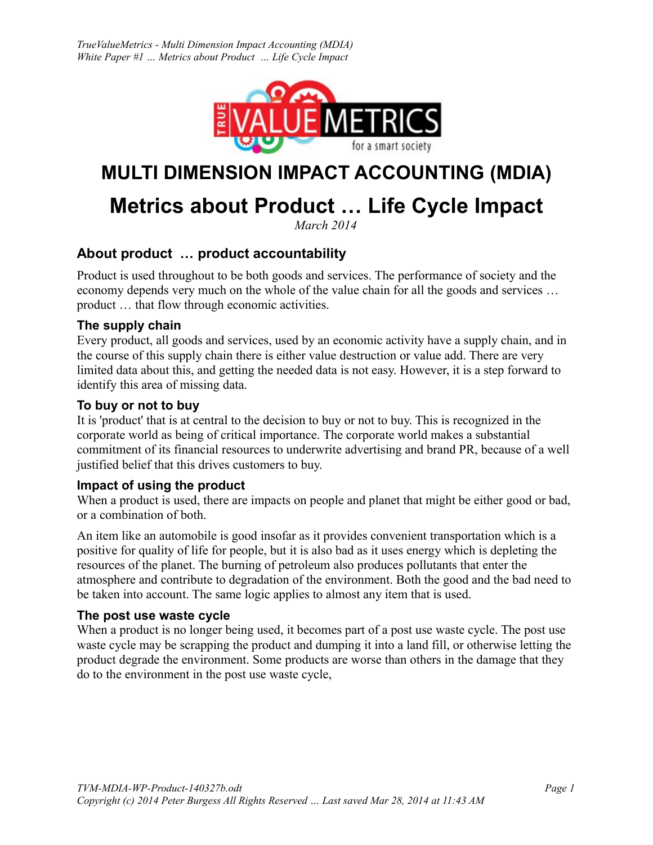

# **MULTI DIMENSION IMPACT ACCOUNTING (MDIA)**

# **Metrics about Product … Life Cycle Impact**

*March 2014*

# <span id="page-0-0"></span>**About product … product accountability**

Product is used throughout to be both goods and services. The performance of society and the economy depends very much on the whole of the value chain for all the goods and services … product … that flow through economic activities.

#### <span id="page-0-4"></span>**The supply chain**

Every product, all goods and services, used by an economic activity have a supply chain, and in the course of this supply chain there is either value destruction or value add. There are very limited data about this, and getting the needed data is not easy. However, it is a step forward to identify this area of missing data.

#### <span id="page-0-3"></span>**To buy or not to buy**

It is 'product' that is at central to the decision to buy or not to buy. This is recognized in the corporate world as being of critical importance. The corporate world makes a substantial commitment of its financial resources to underwrite advertising and brand PR, because of a well justified belief that this drives customers to buy.

#### <span id="page-0-2"></span>**Impact of using the product**

When a product is used, there are impacts on people and planet that might be either good or bad, or a combination of both.

An item like an automobile is good insofar as it provides convenient transportation which is a positive for quality of life for people, but it is also bad as it uses energy which is depleting the resources of the planet. The burning of petroleum also produces pollutants that enter the atmosphere and contribute to degradation of the environment. Both the good and the bad need to be taken into account. The same logic applies to almost any item that is used.

#### <span id="page-0-1"></span>**The post use waste cycle**

When a product is no longer being used, it becomes part of a post use waste cycle. The post use waste cycle may be scrapping the product and dumping it into a land fill, or otherwise letting the product degrade the environment. Some products are worse than others in the damage that they do to the environment in the post use waste cycle,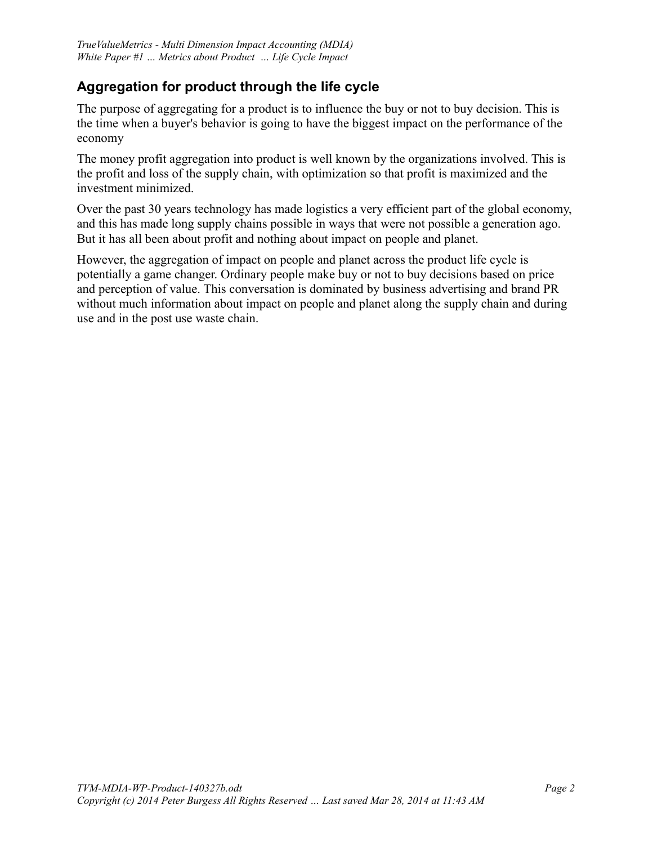# <span id="page-1-0"></span>**Aggregation for product through the life cycle**

The purpose of aggregating for a product is to influence the buy or not to buy decision. This is the time when a buyer's behavior is going to have the biggest impact on the performance of the economy

The money profit aggregation into product is well known by the organizations involved. This is the profit and loss of the supply chain, with optimization so that profit is maximized and the investment minimized.

Over the past 30 years technology has made logistics a very efficient part of the global economy, and this has made long supply chains possible in ways that were not possible a generation ago. But it has all been about profit and nothing about impact on people and planet.

However, the aggregation of impact on people and planet across the product life cycle is potentially a game changer. Ordinary people make buy or not to buy decisions based on price and perception of value. This conversation is dominated by business advertising and brand PR without much information about impact on people and planet along the supply chain and during use and in the post use waste chain.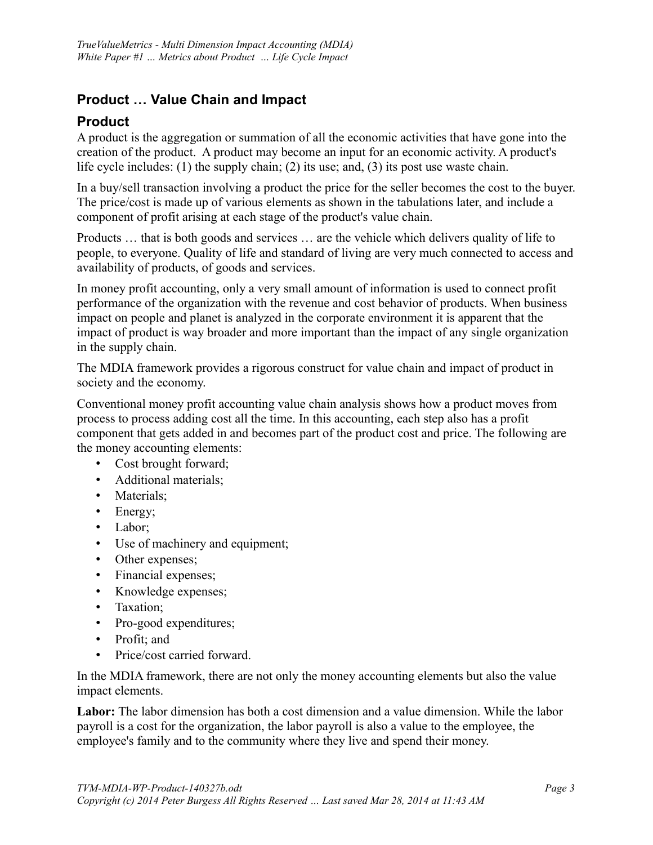# <span id="page-2-1"></span>**Product … Value Chain and Impact**

#### <span id="page-2-0"></span>**Product**

A product is the aggregation or summation of all the economic activities that have gone into the creation of the product. A product may become an input for an economic activity. A product's life cycle includes: (1) the supply chain; (2) its use; and, (3) its post use waste chain.

In a buy/sell transaction involving a product the price for the seller becomes the cost to the buyer. The price/cost is made up of various elements as shown in the tabulations later, and include a component of profit arising at each stage of the product's value chain.

Products … that is both goods and services … are the vehicle which delivers quality of life to people, to everyone. Quality of life and standard of living are very much connected to access and availability of products, of goods and services.

In money profit accounting, only a very small amount of information is used to connect profit performance of the organization with the revenue and cost behavior of products. When business impact on people and planet is analyzed in the corporate environment it is apparent that the impact of product is way broader and more important than the impact of any single organization in the supply chain.

The MDIA framework provides a rigorous construct for value chain and impact of product in society and the economy.

Conventional money profit accounting value chain analysis shows how a product moves from process to process adding cost all the time. In this accounting, each step also has a profit component that gets added in and becomes part of the product cost and price. The following are the money accounting elements:

- Cost brought forward;
- Additional materials;
- Materials;
- Energy;
- Labor;
- Use of machinery and equipment;
- Other expenses;
- Financial expenses;
- Knowledge expenses;
- Taxation:
- Pro-good expenditures;
- Profit; and
- Price/cost carried forward.

In the MDIA framework, there are not only the money accounting elements but also the value impact elements.

**Labor:** The labor dimension has both a cost dimension and a value dimension. While the labor payroll is a cost for the organization, the labor payroll is also a value to the employee, the employee's family and to the community where they live and spend their money.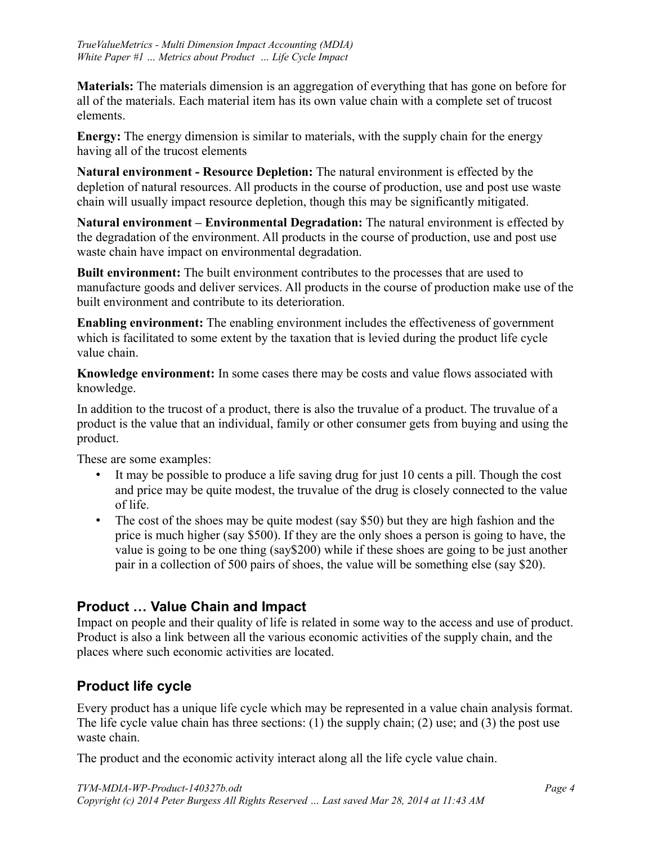**Materials:** The materials dimension is an aggregation of everything that has gone on before for all of the materials. Each material item has its own value chain with a complete set of trucost elements.

**Energy:** The energy dimension is similar to materials, with the supply chain for the energy having all of the trucost elements

**Natural environment - Resource Depletion:** The natural environment is effected by the depletion of natural resources. All products in the course of production, use and post use waste chain will usually impact resource depletion, though this may be significantly mitigated.

**Natural environment – Environmental Degradation:** The natural environment is effected by the degradation of the environment. All products in the course of production, use and post use waste chain have impact on environmental degradation.

**Built environment:** The built environment contributes to the processes that are used to manufacture goods and deliver services. All products in the course of production make use of the built environment and contribute to its deterioration.

**Enabling environment:** The enabling environment includes the effectiveness of government which is facilitated to some extent by the taxation that is levied during the product life cycle value chain.

**Knowledge environment:** In some cases there may be costs and value flows associated with knowledge.

In addition to the trucost of a product, there is also the truvalue of a product. The truvalue of a product is the value that an individual, family or other consumer gets from buying and using the product.

These are some examples:

- It may be possible to produce a life saving drug for just 10 cents a pill. Though the cost and price may be quite modest, the truvalue of the drug is closely connected to the value of life.
- The cost of the shoes may be quite modest (say \$50) but they are high fashion and the price is much higher (say \$500). If they are the only shoes a person is going to have, the value is going to be one thing (say\$200) while if these shoes are going to be just another pair in a collection of 500 pairs of shoes, the value will be something else (say \$20).

# <span id="page-3-1"></span>**Product … Value Chain and Impact**

Impact on people and their quality of life is related in some way to the access and use of product. Product is also a link between all the various economic activities of the supply chain, and the places where such economic activities are located.

# <span id="page-3-0"></span>**Product life cycle**

Every product has a unique life cycle which may be represented in a value chain analysis format. The life cycle value chain has three sections: (1) the supply chain; (2) use; and (3) the post use waste chain.

The product and the economic activity interact along all the life cycle value chain.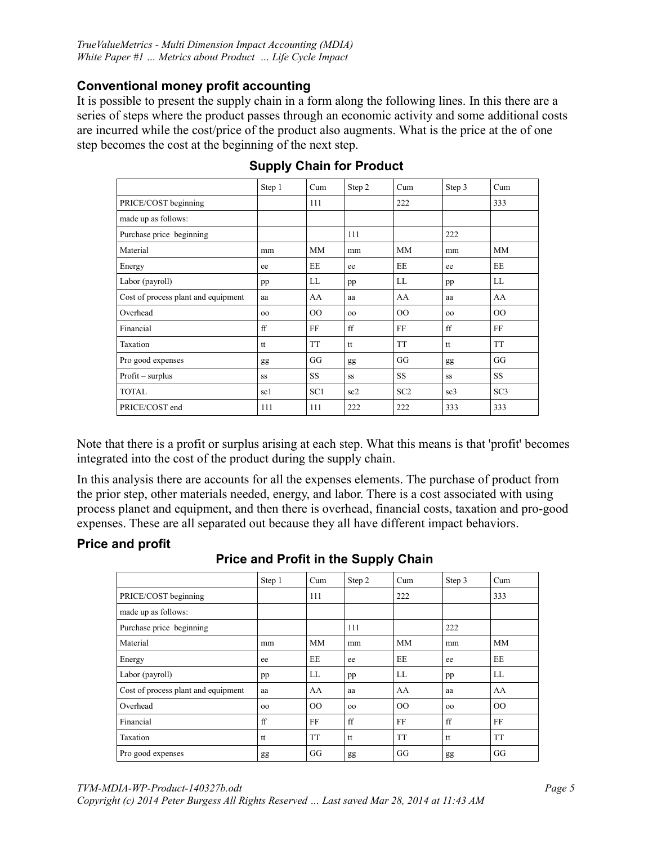#### <span id="page-4-3"></span>**Conventional money profit accounting**

It is possible to present the supply chain in a form along the following lines. In this there are a series of steps where the product passes through an economic activity and some additional costs are incurred while the cost/price of the product also augments. What is the price at the of one step becomes the cost at the beginning of the next step.

|                                     | Step 1 | Cum             | Step 2 | Cum             | Step 3          | Cum       |
|-------------------------------------|--------|-----------------|--------|-----------------|-----------------|-----------|
| PRICE/COST beginning                |        | 111             |        | 222             |                 | 333       |
| made up as follows:                 |        |                 |        |                 |                 |           |
| Purchase price beginning            |        |                 | 111    |                 | 222             |           |
| Material                            | mm     | <b>MM</b>       | mm     | <b>MM</b>       | mm              | <b>MM</b> |
| Energy                              | ee     | EE              | ee     | EE              | ee              | EE        |
| Labor (payroll)                     | pp     | LL              | pp     | LL              | pp              | LL        |
| Cost of process plant and equipment | aa     | AA              | aa     | AA              | aa              | AA        |
| Overhead                            | 00     | $00\,$          | 00     | 00              | 00              | $00\,$    |
| Financial                           | ff     | FF              | ff     | FF              | ff              | FF        |
| Taxation                            | tt     | <b>TT</b>       | tt     | <b>TT</b>       | tt              | <b>TT</b> |
| Pro good expenses                   | gg     | GG              | gg     | GG              | gg              | GG        |
| $Profit - surplus$                  | SS     | <b>SS</b>       | SS     | <b>SS</b>       | SS              | <b>SS</b> |
| <b>TOTAL</b>                        | sc1    | SC <sub>1</sub> | sc2    | SC <sub>2</sub> | sc <sub>3</sub> | SC3       |
| PRICE/COST end                      | 111    | 111             | 222    | 222             | 333             | 333       |

#### <span id="page-4-2"></span>**Supply Chain for Product**

Note that there is a profit or surplus arising at each step. What this means is that 'profit' becomes integrated into the cost of the product during the supply chain.

In this analysis there are accounts for all the expenses elements. The purchase of product from the prior step, other materials needed, energy, and labor. There is a cost associated with using process planet and equipment, and then there is overhead, financial costs, taxation and pro-good expenses. These are all separated out because they all have different impact behaviors.

#### <span id="page-4-1"></span>**Price and profit**

<span id="page-4-0"></span>

| <b>Price and Profit in the Supply Chain</b> |  |  |  |  |  |
|---------------------------------------------|--|--|--|--|--|
|---------------------------------------------|--|--|--|--|--|

|                                     | Step 1 | Cum       | Step 2 | Cum       | Step 3 | Cum       |
|-------------------------------------|--------|-----------|--------|-----------|--------|-----------|
| PRICE/COST beginning                |        | 111       |        | 222       |        | 333       |
| made up as follows:                 |        |           |        |           |        |           |
| Purchase price beginning            |        |           | 111    |           | 222    |           |
| Material                            | mm     | <b>MM</b> | mm     | <b>MM</b> | mm     | MM        |
| Energy                              | ee     | EE        | ee     | EE        | ee     | EE        |
| Labor (payroll)                     | pp     | LL        | pp     | LL        | pp     | LL        |
| Cost of process plant and equipment | aa     | AA        | aa     | AA        | aa     | AA        |
| Overhead                            | 00     | $00\,$    | 00     | 00        | 00     | $00\,$    |
| Financial                           | ff     | FF        | ff     | FF        | ff     | FF        |
| Taxation                            | tt     | <b>TT</b> | tt     | <b>TT</b> | tt     | <b>TT</b> |
| Pro good expenses                   | gg     | GG        | gg     | GG        | gg     | GG        |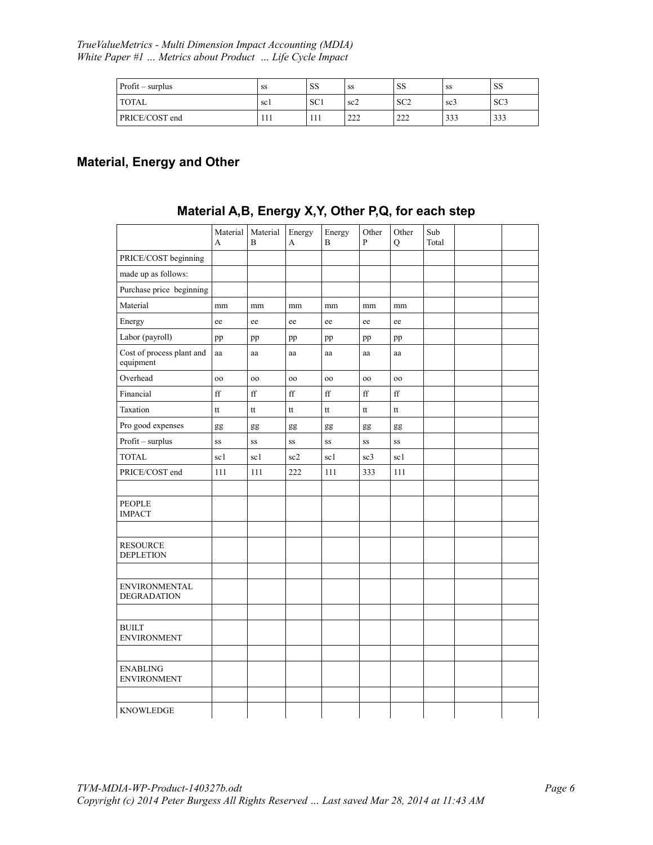*TrueValueMetrics - Multi Dimension Impact Accounting (MDIA) White Paper #1 … Metrics about Product … Life Cycle Impact* 

| $Profit - surplus$ | SS   | SS              | SS         | <b>SS</b>                                       | SS              | SS              |
|--------------------|------|-----------------|------------|-------------------------------------------------|-----------------|-----------------|
| <b>TOTAL</b>       | sc l | SC <sub>1</sub> | sc2        | $\mathbb{C} \cap \mathbb{C}$<br>5C <sub>2</sub> | SC <sub>3</sub> | SC <sub>3</sub> |
| PRICE/COST end     | 111  |                 | າາາ<br>∠∠∠ | 22<br>22 P                                      | 333             | 333             |

#### <span id="page-5-1"></span>**Material, Energy and Other**

|                                            | Material    | Material            | Energy | Energy      | Other        | Other       | Sub   |  |
|--------------------------------------------|-------------|---------------------|--------|-------------|--------------|-------------|-------|--|
|                                            | A           | B                   | A      | B           | $\mathbf{P}$ | $\mathbf Q$ | Total |  |
| PRICE/COST beginning                       |             |                     |        |             |              |             |       |  |
| made up as follows:                        |             |                     |        |             |              |             |       |  |
| Purchase price beginning                   |             |                     |        |             |              |             |       |  |
| Material                                   | mm          | mm                  | mm     | mm          | mm           | mm          |       |  |
| Energy                                     | ee          | ee                  | ee     | ee          | ee           | ee          |       |  |
| Labor (payroll)                            | pp          | pp                  | pp     | pp          | pp           | pp          |       |  |
| Cost of process plant and<br>equipment     | aa          | aa                  | aa     | aa          | aa           | aa          |       |  |
| Overhead                                   | 00          | 00                  | 00     | 00          | 00           | 00          |       |  |
| Financial                                  | $_{\rm ff}$ | $\operatorname{ff}$ | ff     | $_{\rm ff}$ | $_{\rm ff}$  | $_{\rm ff}$ |       |  |
| Taxation                                   | tt          | tt                  | tt     | tt          | tt           | tt          |       |  |
| Pro good expenses                          | gg          | gg                  | gg     | gg          | gg           | gg          |       |  |
| Profit - surplus                           | SS          | SS                  | SS     | SS          | SS           | SS          |       |  |
| <b>TOTAL</b>                               | sc1         | sc1                 | sc2    | sc1         | sc3          | sc1         |       |  |
| PRICE/COST end                             | 111         | 111                 | 222    | 111         | 333          | 111         |       |  |
|                                            |             |                     |        |             |              |             |       |  |
| <b>PEOPLE</b><br><b>IMPACT</b>             |             |                     |        |             |              |             |       |  |
|                                            |             |                     |        |             |              |             |       |  |
| <b>RESOURCE</b><br><b>DEPLETION</b>        |             |                     |        |             |              |             |       |  |
|                                            |             |                     |        |             |              |             |       |  |
| <b>ENVIRONMENTAL</b><br><b>DEGRADATION</b> |             |                     |        |             |              |             |       |  |
|                                            |             |                     |        |             |              |             |       |  |
| <b>BUILT</b><br><b>ENVIRONMENT</b>         |             |                     |        |             |              |             |       |  |
|                                            |             |                     |        |             |              |             |       |  |
| <b>ENABLING</b><br><b>ENVIRONMENT</b>      |             |                     |        |             |              |             |       |  |
|                                            |             |                     |        |             |              |             |       |  |
| <b>KNOWLEDGE</b>                           |             |                     |        |             |              |             |       |  |

# <span id="page-5-0"></span>**Material A,B, Energy X,Y, Other P,Q, for each step**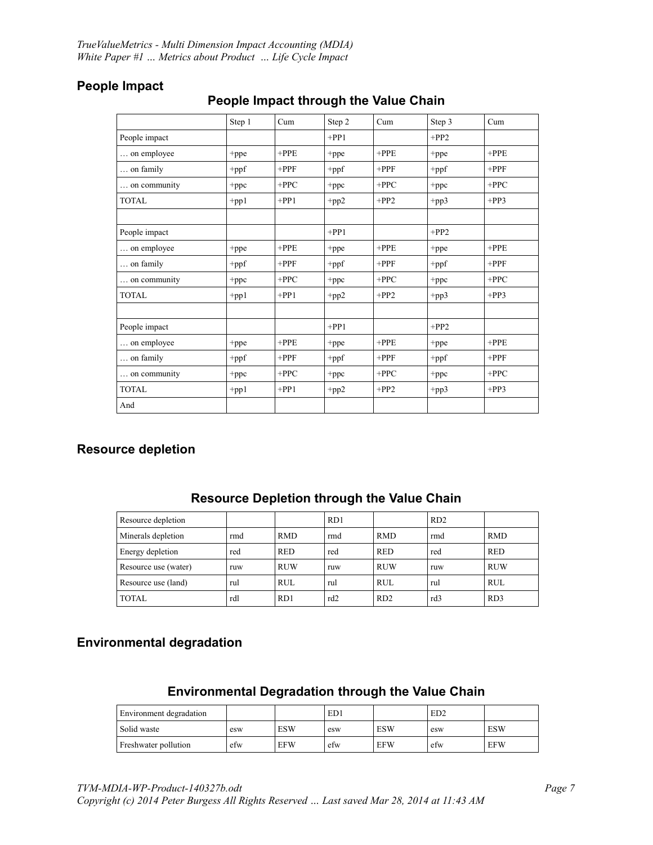|               | Step 1     | Cum     | Step 2  | Cum     | Step 3  | Cum     |
|---------------|------------|---------|---------|---------|---------|---------|
| People impact |            |         | $+PP1$  |         | $+PP2$  |         |
| on employee   | +ppe       | $+$ PPE | +ppe    | $+$ PPE | +ppe    | $+$ PPE |
| on family     | +ppf       | $+$ PPF | +ppf    | $+$ PPF | $+$ ppf | $+$ PPF |
| on community  | +ppc       | $+PPC$  | $+$ ppc | $+$ PPC | $+$ ppc | $+PPC$  |
| <b>TOTAL</b>  | $+pp1$     | $+PP1$  | $+pp2$  | $+PP2$  | $+pp3$  | $+PP3$  |
|               |            |         |         |         |         |         |
| People impact |            |         | $+PP1$  |         | $+PP2$  |         |
| on employee   | +ppe       | $+$ PPE | +ppe    | $+$ PPE | +ppe    | $+$ PPE |
| on family     | $+$ ppf    | $+$ PPF | $+$ ppf | $+$ PPF | $+$ ppf | $+$ PPF |
| on community  | +ppc       | $+PPC$  | $+$ ppc | $+PPC$  | $+$ ppc | $+PPC$  |
| <b>TOTAL</b>  | $+$ pp $1$ | $+PP1$  | $+pp2$  | $+PP2$  | $+pp3$  | $+PP3$  |
|               |            |         |         |         |         |         |
| People impact |            |         | $+PP1$  |         | $+PP2$  |         |
| on employee   | +ppe       | $+$ PPE | +ppe    | $+$ PPE | +ppe    | $+$ PPE |
| on family     | +ppf       | $+$ PPF | +ppf    | $+$ PPF | $+$ ppf | $+$ PPF |
| on community  | $+$ ppc    | $+PPC$  | $+$ ppc | $+$ PPC | +ppc    | $+PPC$  |
| <b>TOTAL</b>  | $+$ pp $1$ | $+PP1$  | $+pp2$  | $+PP2$  | $+pp3$  | $+PP3$  |
| And           |            |         |         |         |         |         |

## <span id="page-6-5"></span>**People Impact**

# <span id="page-6-4"></span>**People Impact through the Value Chain**

### <span id="page-6-3"></span>**Resource depletion**

| Resource depletion   |     |            | RD1 |            | RD <sub>2</sub> |            |
|----------------------|-----|------------|-----|------------|-----------------|------------|
| Minerals depletion   | rmd | <b>RMD</b> | rmd | <b>RMD</b> | rmd             | <b>RMD</b> |
| Energy depletion     | red | <b>RED</b> | red | <b>RED</b> | red             | <b>RED</b> |
| Resource use (water) | ruw | <b>RUW</b> | ruw | <b>RUW</b> | ruw             | <b>RUW</b> |
| Resource use (land)  | rul | <b>RUL</b> | rul | <b>RUL</b> | rul             | <b>RUL</b> |
| <b>TOTAL</b>         | rdl | RD1        | rd2 | RD2        | rd3             | RD3        |

#### <span id="page-6-2"></span>**Resource Depletion through the Value Chain**

# <span id="page-6-1"></span>**Environmental degradation**

#### <span id="page-6-0"></span>**Environmental Degradation through the Value Chain**

| Environment degradation |     |            | ED1 |            | ED2 |            |
|-------------------------|-----|------------|-----|------------|-----|------------|
| Solid waste             | esw | <b>ESW</b> | esw | <b>ESW</b> | esw | <b>ESW</b> |
| Freshwater pollution    | etw | <b>EFW</b> | efw | <b>EFW</b> | efw | <b>EFW</b> |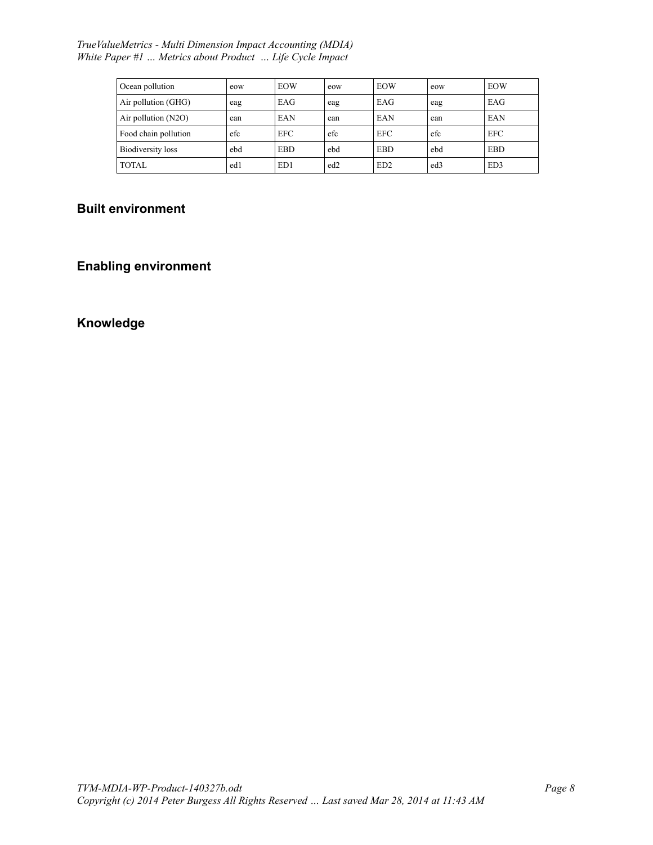#### *TrueValueMetrics - Multi Dimension Impact Accounting (MDIA) White Paper #1 … Metrics about Product … Life Cycle Impact*

| Ocean pollution       | eow | <b>EOW</b>      | eow             | <b>EOW</b>      | eow             | <b>EOW</b> |
|-----------------------|-----|-----------------|-----------------|-----------------|-----------------|------------|
| Air pollution (GHG)   | eag | EAG             | eag             | EAG             | eag             | EAG        |
| Air pollution $(N2O)$ | ean | EAN             | ean             | EAN             | ean             | EAN        |
| Food chain pollution  | efc | <b>EFC</b>      | efc             | <b>EFC</b>      | efc             | <b>EFC</b> |
| Biodiversity loss     | ebd | <b>EBD</b>      | ebd             | <b>EBD</b>      | ebd             | <b>EBD</b> |
| <b>TOTAL</b>          | ed1 | ED <sub>1</sub> | ed <sub>2</sub> | ED <sub>2</sub> | ed <sub>3</sub> | ED3        |

# <span id="page-7-2"></span>**Built environment**

# <span id="page-7-1"></span>**Enabling environment**

### <span id="page-7-0"></span>**Knowledge**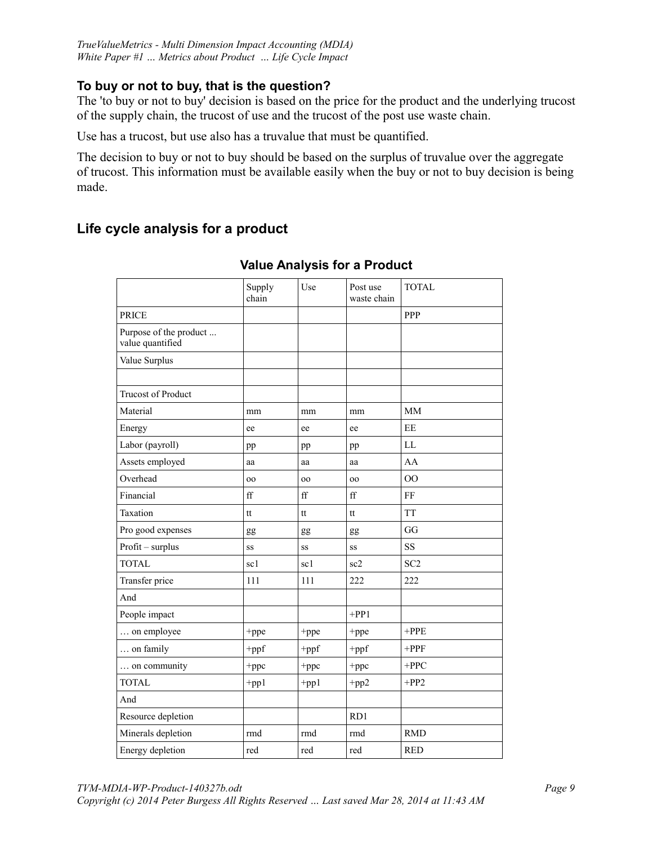#### <span id="page-8-2"></span>**To buy or not to buy, that is the question?**

The 'to buy or not to buy' decision is based on the price for the product and the underlying trucost of the supply chain, the trucost of use and the trucost of the post use waste chain.

Use has a trucost, but use also has a truvalue that must be quantified.

The decision to buy or not to buy should be based on the surplus of truvalue over the aggregate of trucost. This information must be available easily when the buy or not to buy decision is being made.

# <span id="page-8-1"></span>**Life cycle analysis for a product**

|                                            | Supply<br>chain | Use        | Post use<br>waste chain | <b>TOTAL</b>           |
|--------------------------------------------|-----------------|------------|-------------------------|------------------------|
| <b>PRICE</b>                               |                 |            |                         | PPP                    |
| Purpose of the product<br>value quantified |                 |            |                         |                        |
| Value Surplus                              |                 |            |                         |                        |
|                                            |                 |            |                         |                        |
| <b>Trucost of Product</b>                  |                 |            |                         |                        |
| Material                                   | mm              | mm         | mm                      | <b>MM</b>              |
| Energy                                     | ee              | ee         | ee                      | EE                     |
| Labor (payroll)                            | pp              | pp         | pp                      | $\mathbf{L}\mathbf{L}$ |
| Assets employed                            | aa              | aa         | aa                      | AA                     |
| Overhead                                   | <sub>00</sub>   | 00         | <sub>00</sub>           | O <sub>O</sub>         |
| Financial                                  | ff              | ff         | $_{\rm ff}$             | FF                     |
| Taxation                                   | tt              | tt         | tt                      | <b>TT</b>              |
| Pro good expenses                          | gg              | gg         | gg                      | GG                     |
| $Profit - surplus$                         | SS              | SS         | SS                      | <b>SS</b>              |
| <b>TOTAL</b>                               | sc1             | sc1        | sc2                     | SC <sub>2</sub>        |
| Transfer price                             | 111             | 111        | 222                     | 222                    |
| And                                        |                 |            |                         |                        |
| People impact                              |                 |            | $+PP1$                  |                        |
| on employee                                | +ppe            | +ppe       | +ppe                    | $+$ PPE                |
| on family                                  | $+$ ppf         | $+$ ppf    | $+$ ppf                 | $+$ PPF                |
| on community                               | +ppc            | +ppc       | +ppc                    | $+$ PPC                |
| <b>TOTAL</b>                               | $+pp1$          | $+$ pp $1$ | $+pp2$                  | $+PP2$                 |
| And                                        |                 |            |                         |                        |
| Resource depletion                         |                 |            | RD1                     |                        |
| Minerals depletion                         | rmd             | rmd        | rmd                     | <b>RMD</b>             |
| Energy depletion                           | red             | red        | red                     | <b>RED</b>             |

<span id="page-8-0"></span>**Value Analysis for a Product**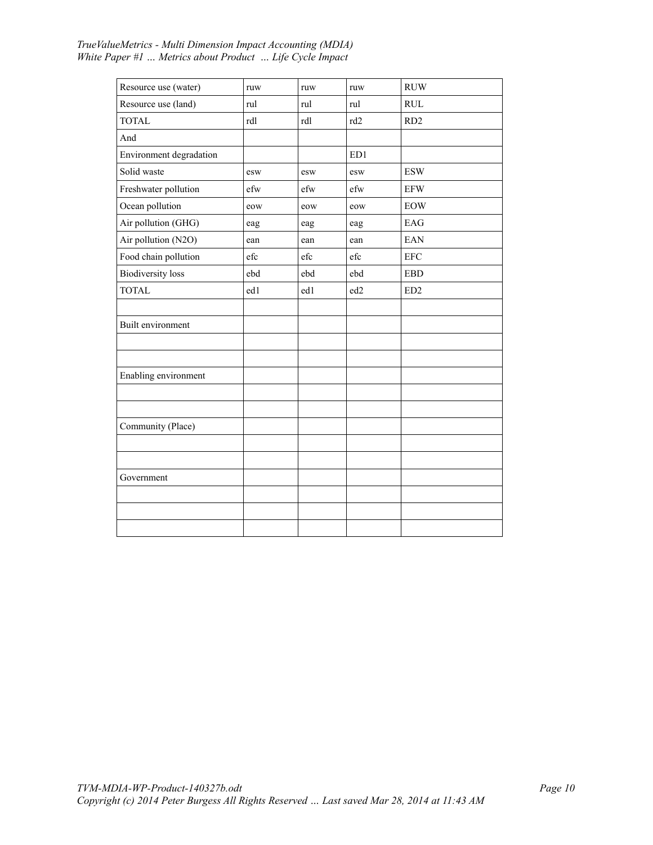| Resource use (water)     | ruw | ruw | ruw             | <b>RUW</b>                       |  |
|--------------------------|-----|-----|-----------------|----------------------------------|--|
| Resource use (land)      | rul | rul | rul             | $\mathbf{R}\mathbf{U}\mathbf{L}$ |  |
| <b>TOTAL</b>             | rdl | rdl | rd <sub>2</sub> | RD <sub>2</sub>                  |  |
| And                      |     |     |                 |                                  |  |
| Environment degradation  |     |     | ED1             |                                  |  |
| Solid waste              | esw | esw | esw             | <b>ESW</b>                       |  |
| Freshwater pollution     | efw | efw | efw             | <b>EFW</b>                       |  |
| Ocean pollution          | eow | eow | eow             | <b>EOW</b>                       |  |
| Air pollution (GHG)      | eag | eag | eag             | EAG                              |  |
| Air pollution (N2O)      | ean | ean | ean             | EAN                              |  |
| Food chain pollution     | efc | efc | efc             | <b>EFC</b>                       |  |
| <b>Biodiversity</b> loss | ebd | ebd | ebd             | ${\rm EBD}$                      |  |
| <b>TOTAL</b>             | ed1 | ed1 | ed <sub>2</sub> | ED <sub>2</sub>                  |  |
|                          |     |     |                 |                                  |  |
| Built environment        |     |     |                 |                                  |  |
|                          |     |     |                 |                                  |  |
|                          |     |     |                 |                                  |  |
| Enabling environment     |     |     |                 |                                  |  |
|                          |     |     |                 |                                  |  |
|                          |     |     |                 |                                  |  |
| Community (Place)        |     |     |                 |                                  |  |
|                          |     |     |                 |                                  |  |
|                          |     |     |                 |                                  |  |
| Government               |     |     |                 |                                  |  |
|                          |     |     |                 |                                  |  |
|                          |     |     |                 |                                  |  |
|                          |     |     |                 |                                  |  |

#### *TrueValueMetrics - Multi Dimension Impact Accounting (MDIA) White Paper #1 … Metrics about Product … Life Cycle Impact*